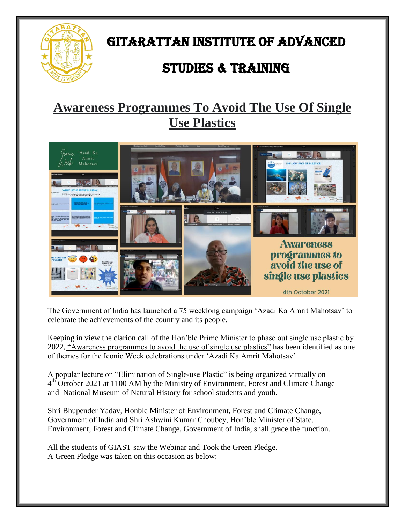

# GITARATTAN INSTITUTE OF ADVANCED

### STUDIES & TRAINING

### **Awareness Programmes To Avoid The Use Of Single Use Plastics**



The Government of India has launched a 75 weeklong campaign "Azadi Ka Amrit Mahotsav" to celebrate the achievements of the country and its people.

Keeping in view the clarion call of the Hon"ble Prime Minister to phase out single use plastic by 2022, "Awareness programmes to avoid the use of single use plastics" has been identified as one of themes for the Iconic Week celebrations under "Azadi Ka Amrit Mahotsav"

A popular lecture on "Elimination of Single-use Plastic" is being organized virtually on 4<sup>th</sup> October 2021 at 1100 AM by the Ministry of Environment, Forest and Climate Change and National Museum of Natural History for school students and youth.

Shri Bhupender Yadav, Honble Minister of Environment, Forest and Climate Change, Government of India and Shri Ashwini Kumar Choubey, Hon"ble Minister of State, Environment, Forest and Climate Change, Government of India, shall grace the function.

All the students of GIAST saw the Webinar and Took the Green Pledge. A Green Pledge was taken on this occasion as below: